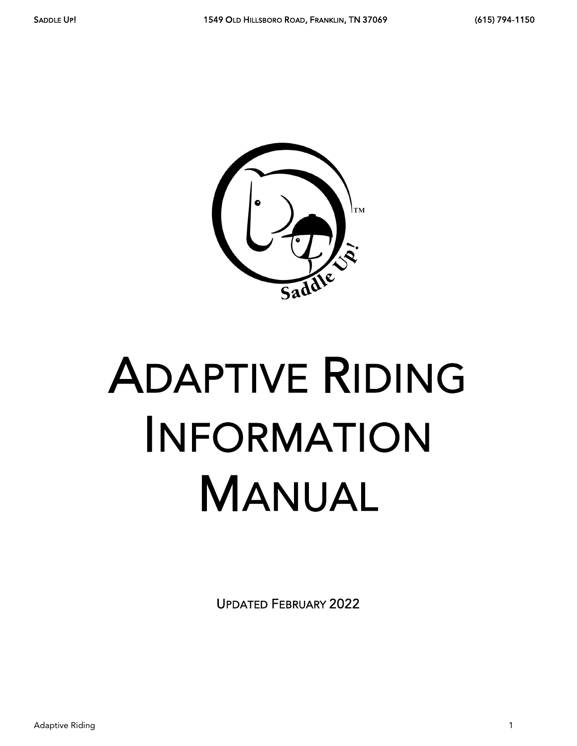

# ADAPTIVE RIDING INFORMATION MANUAL

UPDATED FEBRUARY 2022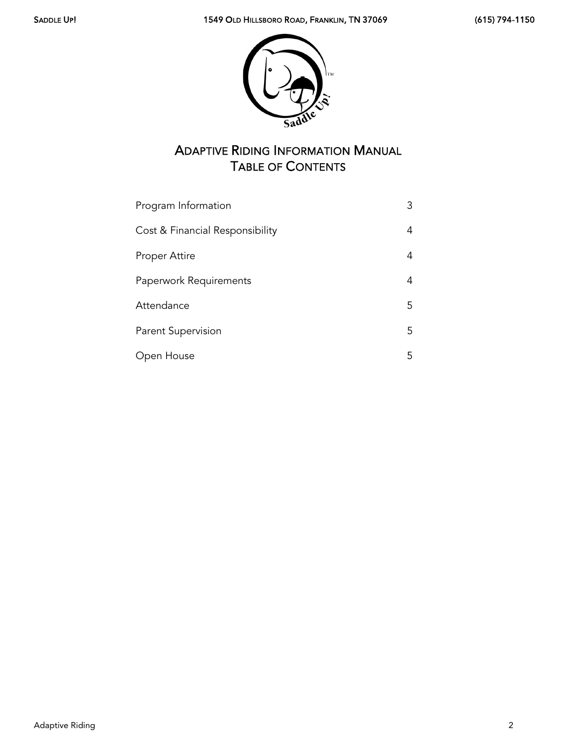

# ADAPTIVE RIDING INFORMATION MANUAL TABLE OF CONTENTS

| Program Information             | 3  |
|---------------------------------|----|
| Cost & Financial Responsibility | 4  |
| Proper Attire                   | 4  |
| Paperwork Requirements          | 4  |
| Attendance                      | 5. |
| <b>Parent Supervision</b>       | 5. |
| Open House                      | 5  |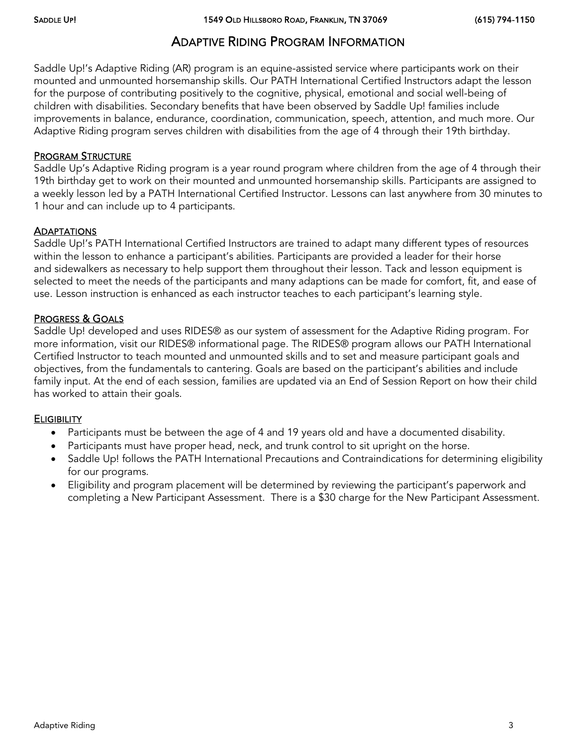## ADAPTIVE RIDING PROGRAM INFORMATION

Saddle Up!'s Adaptive Riding (AR) program is an equine-assisted service where participants work on their mounted and unmounted horsemanship skills. Our PATH International Certified Instructors adapt the lesson for the purpose of contributing positively to the cognitive, physical, emotional and social well-being of children with disabilities. Secondary benefits that have been observed by Saddle Up! families include improvements in balance, endurance, coordination, communication, speech, attention, and much more. Our Adaptive Riding program serves children with disabilities from the age of 4 through their 19th birthday.

#### PROGRAM STRUCTURE

Saddle Up's Adaptive Riding program is a year round program where children from the age of 4 through their 19th birthday get to work on their mounted and unmounted horsemanship skills. Participants are assigned to a weekly lesson led by a PATH International Certified Instructor. Lessons can last anywhere from 30 minutes to 1 hour and can include up to 4 participants.

#### **ADAPTATIONS**

Saddle Up!'s PATH International Certified Instructors are trained to adapt many different types of resources within the lesson to enhance a participant's abilities. Participants are provided a leader for their horse and sidewalkers as necessary to help support them throughout their lesson. Tack and lesson equipment is selected to meet the needs of the participants and many adaptions can be made for comfort, fit, and ease of use. Lesson instruction is enhanced as each instructor teaches to each participant's learning style.

#### PROGRESS & GOALS

Saddle Up! developed and uses RIDES® as our system of assessment for the Adaptive Riding program. For more information, visit our RIDES® informational page. The RIDES® program allows our PATH International Certified Instructor to teach mounted and unmounted skills and to set and measure participant goals and objectives, from the fundamentals to cantering. Goals are based on the participant's abilities and include family input. At the end of each session, families are updated via an End of Session Report on how their child has worked to attain their goals.

#### **ELIGIBILITY**

- Participants must be between the age of 4 and 19 years old and have a documented disability.
- Participants must have proper head, neck, and trunk control to sit upright on the horse.
- Saddle Up! follows the PATH International Precautions and Contraindications for determining eligibility for our programs.
- Eligibility and program placement will be determined by reviewing the participant's paperwork and completing a New Participant Assessment. There is a \$30 charge for the New Participant Assessment.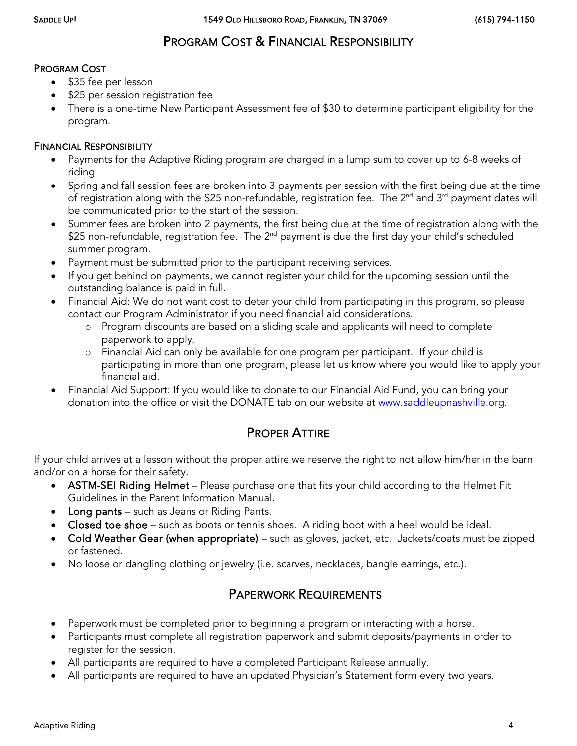## PROGRAM COST & FINANCIAL RESPONSIBILITY

#### PROGRAM COST

- \$35 fee per lesson
- \$25 per session registration fee
- There is a one-time New Participant Assessment fee of \$30 to determine participant eligibility for the program.

#### FINANCIAL RESPONSIBILITY

- Payments for the Adaptive Riding program are charged in a lump sum to cover up to 6-8 weeks of riding.
- Spring and fall session fees are broken into 3 payments per session with the first being due at the time of registration along with the \$25 non-refundable, registration fee. The 2<sup>nd</sup> and 3<sup>rd</sup> payment dates will be communicated prior to the start of the session.
- Summer fees are broken into 2 payments, the first being due at the time of registration along with the \$25 non-refundable, registration fee. The  $2^{nd}$  payment is due the first day your child's scheduled summer program.
- Payment must be submitted prior to the participant receiving services.
- If you get behind on payments, we cannot register your child for the upcoming session until the outstanding balance is paid in full.
- Financial Aid: We do not want cost to deter your child from participating in this program, so please contact our Program Administrator if you need financial aid considerations.
	- o Program discounts are based on a sliding scale and applicants will need to complete paperwork to apply.
	- o Financial Aid can only be available for one program per participant. If your child is participating in more than one program, please let us know where you would like to apply your financial aid.
- Financial Aid Support: If you would like to donate to our Financial Aid Fund, you can bring your donation into the office or visit the DONATE tab on our website at [www.saddleupnashville.org.](http://www.saddleupnashville.org/)

#### PROPER ATTIRE

If your child arrives at a lesson without the proper attire we reserve the right to not allow him/her in the barn and/or on a horse for their safety.

- ASTM-SEI Riding Helmet Please purchase one that fits your child according to the Helmet Fit Guidelines in the Parent Information Manual.
- Long pants such as Jeans or Riding Pants.
- Closed toe shoe such as boots or tennis shoes. A riding boot with a heel would be ideal.
- Cold Weather Gear (when appropriate) such as gloves, jacket, etc. Jackets/coats must be zipped or fastened.
- No loose or dangling clothing or jewelry (i.e. scarves, necklaces, bangle earrings, etc.).

## PAPERWORK REQUIREMENTS

- Paperwork must be completed prior to beginning a program or interacting with a horse.
- Participants must complete all registration paperwork and submit deposits/payments in order to register for the session.
- All participants are required to have a completed Participant Release annually.
- All participants are required to have an updated Physician's Statement form every two years.